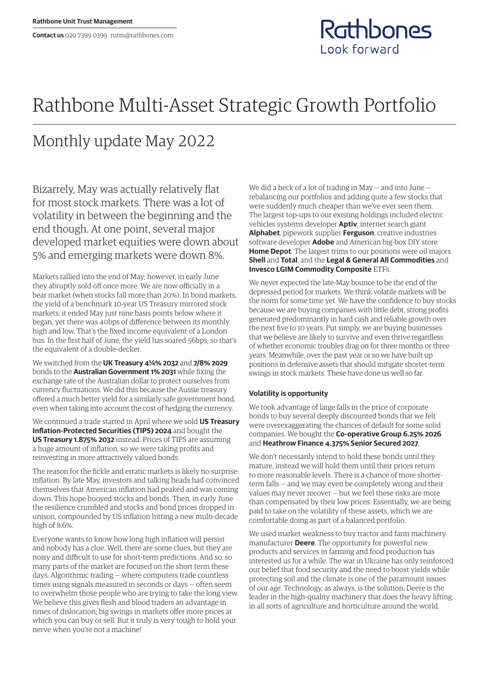## Rathbone Multi-Asset Strategic Growth Portfolio

## Monthly update May 2022

Bizarrely, May was actually relatively flat for most stock markets. There was a lot of volatility in between the beginning and the end though. At one point, several major developed market equities were down about 5% and emerging markets were down 8%.

Markets rallied into the end of May; however, in early June they abruptly sold off once more. We are now officially in a bear market (when stocks fall more than 20%). In bond markets, the yield of a benchmark 10-year US Treasury mirrored stock markets: it ended May just nine basis points below where it began, yet there was 40bps of difference between its monthly high and low. That's the fixed income equivalent of a London bus. In the first half of June, the yield has soared 56bps; so that's the equivalent of a double-decker.

We switched from the **UK Treasury 4¼% 2032** and **7/8% 2029** bonds to the **Australian Government 1% 2031** while fixing the exchange rate of the Australian dollar to protect ourselves from currency fluctuations. We did this because the Aussie treasury offered a much better yield for a similarly safe government bond, even when taking into account the cost of hedging the currency.

We continued a trade started in April where we sold **US Treasury Inflation-Protected Securities (TIPS) 2024** and bought the **US Treasury 1.875% 2032** instead. Prices of TIPS are assuming a huge amount of inflation, so we were taking profits and reinvesting in more attractively valued bonds.

The reason for the fickle and erratic markets is likely no surprise: inflation. By late May, investors and talking heads had convinced themselves that American inflation had peaked and was coming down. This hope buoyed stocks and bonds. Then, in early June the resilience crumbled and stocks and bond prices dropped in unison, compounded by US inflation hitting a new multi-decade high of 8.6%.

Everyone wants to know how long high inflation will persist and nobody has a clue. Well, there are some clues, but they are noisy and difficult to use for short-term predictions. And so, so many parts of the market are focused on the short term these days. Algorithmic trading — where computers trade countless times using signals measured in seconds or days — often seem to overwhelm those people who are trying to take the long view. We believe this gives flesh and blood traders an advantage in times of dislocation; big swings in markets offer more prices at which you can buy or sell. But it truly is very tough to hold your nerve when you're not a machine!

We did a heck of a lot of trading in May — and into June rebalancing our portfolios and adding quite a few stocks that were suddenly much cheaper than we've ever seen them. The largest top-ups to our existing holdings included electric vehicles systems developer **Aptiv**, internet search giant **Alphabet**, pipework supplier **Ferguson**, creative industries software developer **Adobe** and American big-box DIY store **Home Depot**. The largest trims to our positions were oil majors **Shell** and **Total**, and the **Legal & General All Commodities** and **Invesco LGIM Commodity Composite** ETFs.

Rathbones

Look forward

We never expected the late-May bounce to be the end of the depressed period for markets. We think volatile markets will be the norm for some time yet. We have the confidence to buy stocks because we are buying companies with little debt, strong profits generated predominantly in hard cash and reliable growth over the next five to 10 years. Put simply, we are buying businesses that we believe are likely to survive and even thrive regardless of whether economic troubles drag on for three months or three years. Meanwhile, over the past year or so we have built up positions in defensive assets that should mitigate shorter-term swings in stock markets. These have done us well so far.

## **Volatility is opportunity**

We took advantage of large falls in the price of corporate bonds to buy several deeply discounted bonds that we felt were overexaggerating the chances of default for some solid companies. We bought the **Co-operative Group 6.25% 2026** and **Heathrow Finance 4.375% Senior Secured 2027**.

We don't necessarily intend to hold these bonds until they mature, instead we will hold them until their prices return to more reasonable levels. There is a chance of more shorterterm falls — and we may even be completely wrong and their values may never recover — but we feel these risks are more than compensated by their low prices. Essentially, we are being paid to take on the volatility of these assets, which we are comfortable doing as part of a balanced portfolio.

We used market weakness to buy tractor and farm machinery manufacturer **Deere**. The opportunity for powerful new products and services in farming and food production has interested us for a while. The war in Ukraine has only reinforced our belief that food security and the need to boost yields while protecting soil and the climate is one of the paramount issues of our age. Technology, as always, is the solution. Deere is the leader in the high-quality machinery that does the heavy lifting in all sorts of agriculture and horticulture around the world.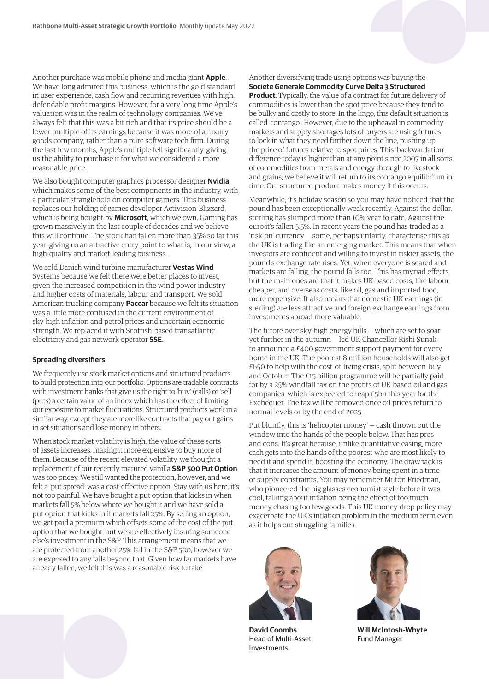Another purchase was mobile phone and media giant **Apple**. We have long admired this business, which is the gold standard in user experience, cash flow and recurring revenues with high, defendable profit margins. However, for a very long time Apple's valuation was in the realm of technology companies. We've always felt that this was a bit rich and that its price should be a lower multiple of its earnings because it was more of a luxury goods company, rather than a pure software tech firm. During the last few months, Apple's multiple fell significantly, giving us the ability to purchase it for what we considered a more reasonable price.

We also bought computer graphics processor designer **Nvidia**, which makes some of the best components in the industry, with a particular stranglehold on computer gamers. This business replaces our holding of games developer Activision-Blizzard, which is being bought by **Microsoft**, which we own. Gaming has grown massively in the last couple of decades and we believe this will continue. The stock had fallen more than 35% so far this year, giving us an attractive entry point to what is, in our view, a high-quality and market-leading business.

We sold Danish wind turbine manufacturer **Vestas Wind** Systems because we felt there were better places to invest, given the increased competition in the wind power industry and higher costs of materials, labour and transport. We sold American trucking company **Paccar** because we felt its situation was a little more confused in the current environment of sky-high inflation and petrol prices and uncertain economic strength. We replaced it with Scottish-based transatlantic electricity and gas network operator **SSE**.

## **Spreading diversifiers**

We frequently use stock market options and structured products to build protection into our portfolio. Options are tradable contracts with investment banks that give us the right to 'buy' (calls) or 'sell' (puts) a certain value of an index which has the effect of limiting our exposure to market fluctuations. Structured products work in a similar way, except they are more like contracts that pay out gains in set situations and lose money in others.

When stock market volatility is high, the value of these sorts of assets increases, making it more expensive to buy more of them. Because of the recent elevated volatility, we thought a replacement of our recently matured vanilla **S&P 500 Put Option** was too pricey. We still wanted the protection, however, and we felt a 'put spread' was a cost-effective option. Stay with us here, it's not too painful. We have bought a put option that kicks in when markets fall 5% below where we bought it and we have sold a put option that kicks in if markets fall 25%. By selling an option, we get paid a premium which offsets some of the cost of the put option that we bought, but we are effectively insuring someone else's investment in the S&P. This arrangement means that we are protected from another 25% fall in the S&P 500, however we are exposed to any falls beyond that. Given how far markets have already fallen, we felt this was a reasonable risk to take.



Another diversifying trade using options was buying the

Meanwhile, it's holiday season so you may have noticed that the pound has been exceptionally weak recently. Against the dollar, sterling has slumped more than 10% year to date. Against the euro it's fallen 3.5%. In recent years the pound has traded as a 'risk-on' currency — some, perhaps unfairly, characterise this as the UK is trading like an emerging market. This means that when investors are confident and willing to invest in riskier assets, the pound's exchange rate rises. Yet, when everyone is scared and markets are falling, the pound falls too. This has myriad effects, but the main ones are that it makes UK-based costs, like labour, cheaper, and overseas costs, like oil, gas and imported food, more expensive. It also means that domestic UK earnings (in sterling) are less attractive and foreign exchange earnings from investments abroad more valuable.

The furore over sky-high energy bills — which are set to soar yet further in the autumn — led UK Chancellor Rishi Sunak to announce a £400 government support payment for every home in the UK. The poorest 8 million households will also get £650 to help with the cost-of-living crisis, split between July and October. The £15 billion programme will be partially paid for by a 25% windfall tax on the profits of UK-based oil and gas companies, which is expected to reap £5bn this year for the Exchequer. The tax will be removed once oil prices return to normal levels or by the end of 2025.

Put bluntly, this is 'helicopter money' — cash thrown out the window into the hands of the people below. That has pros and cons. It's great because, unlike quantitative easing, more cash gets into the hands of the poorest who are most likely to need it and spend it, boosting the economy. The drawback is that it increases the amount of money being spent in a time of supply constraints. You may remember Milton Friedman, who pioneered the big glasses economist style before it was cool, talking about inflation being the effect of too much money chasing too few goods. This UK money-drop policy may exacerbate the UK's inflation problem in the medium term even as it helps out struggling families.



**David Coombs** Head of Multi-Asset Investments



**Will McIntosh-Whyte** Fund Manager